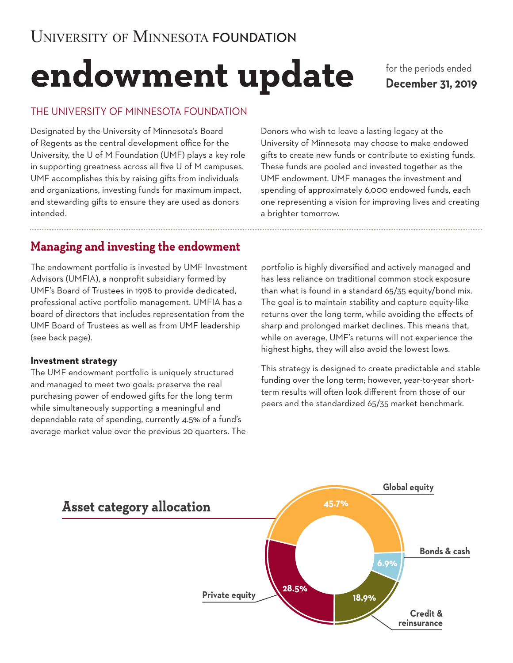# **endowment update**

for the periods ended **December 31, 2019**

## THE UNIVERSITY OF MINNESOTA FOUNDATION

Designated by the University of Minnesota's Board of Regents as the central development office for the University, the U of M Foundation (UMF) plays a key role in supporting greatness across all five U of M campuses. UMF accomplishes this by raising gifts from individuals and organizations, investing funds for maximum impact, and stewarding gifts to ensure they are used as donors intended.

Donors who wish to leave a lasting legacy at the University of Minnesota may choose to make endowed gifts to create new funds or contribute to existing funds. These funds are pooled and invested together as the UMF endowment. UMF manages the investment and spending of approximately 6,000 endowed funds, each one representing a vision for improving lives and creating a brighter tomorrow.

# **Managing and investing the endowment**

The endowment portfolio is invested by UMF Investment Advisors (UMFIA), a nonprofit subsidiary formed by UMF's Board of Trustees in 1998 to provide dedicated, professional active portfolio management. UMFIA has a board of directors that includes representation from the UMF Board of Trustees as well as from UMF leadership (see back page).

#### **Investment strategy**

The UMF endowment portfolio is uniquely structured and managed to meet two goals: preserve the real purchasing power of endowed gifts for the long term while simultaneously supporting a meaningful and dependable rate of spending, currently 4.5% of a fund's average market value over the previous 20 quarters. The

portfolio is highly diversified and actively managed and has less reliance on traditional common stock exposure than what is found in a standard 65/35 equity/bond mix. The goal is to maintain stability and capture equity-like returns over the long term, while avoiding the effects of sharp and prolonged market declines. This means that, while on average, UMF's returns will not experience the highest highs, they will also avoid the lowest lows.

This strategy is designed to create predictable and stable funding over the long term; however, year-to-year shortterm results will often look different from those of our peers and the standardized 65/35 market benchmark.

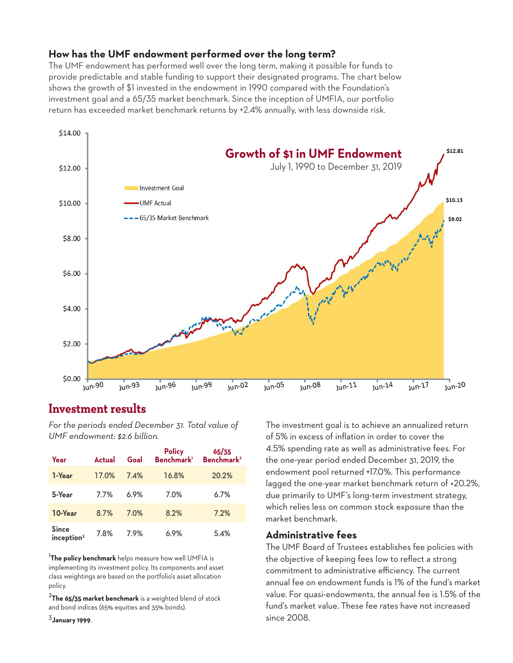#### **How has the UMF endowment performed over the long term?**

The UMF endowment has performed well over the long term, making it possible for funds to provide predictable and stable funding to support their designated programs. The chart below shows the growth of \$1 invested in the endowment in 1990 compared with the Foundation's investment goal and a 65/35 market benchmark. Since the inception of UMFIA, our portfolio return has exceeded market benchmark returns by +2.4% annually, with less downside risk.



# **Investment results**

*For the periods ended December 31. Total value of UMF endowment: \$2.6 billion.*

| Year                                   | <b>Actual</b> | Goal | <b>Policy</b><br>Benchmark <sup>1</sup> | 65/35<br>Benchmark <sup>2</sup> |
|----------------------------------------|---------------|------|-----------------------------------------|---------------------------------|
| 1-Year                                 | 17.0%         | 7.4% | 16.8%                                   | 20.2%                           |
| 5-Year                                 | 7.7%          | 6.9% | 7.0%                                    | 6.7%                            |
| 10-Year                                | 8.7%          | 7.0% | 8.2%                                    | 7.2%                            |
| <b>Since</b><br>inception <sup>3</sup> | 7.8%          | 7.9% | 6.9%                                    | 5.4%                            |

<sup>1</sup>**The policy benchmark** helps measure how well UMFIA is implementing its investment policy. Its components and asset class weightings are based on the portfolio's asset allocation policy.

<sup>2</sup>**The 65/35 market benchmark** is a weighted blend of stock and bond indices (65% equities and 35% bonds).

<sup>3</sup>**January 1999**.

The investment goal is to achieve an annualized return of 5% in excess of inflation in order to cover the 4.5% spending rate as well as administrative fees. For the one-year period ended December 31, 2019, the endowment pool returned +17.0%. This performance lagged the one-year market benchmark return of +20.2%, due primarily to UMF's long-term investment strategy, which relies less on common stock exposure than the market benchmark.

#### **Administrative fees**

The UMF Board of Trustees establishes fee policies with the objective of keeping fees low to reflect a strong commitment to administrative efficiency. The current annual fee on endowment funds is 1% of the fund's market value. For quasi-endowments, the annual fee is 1.5% of the fund's market value. These fee rates have not increased since 2008.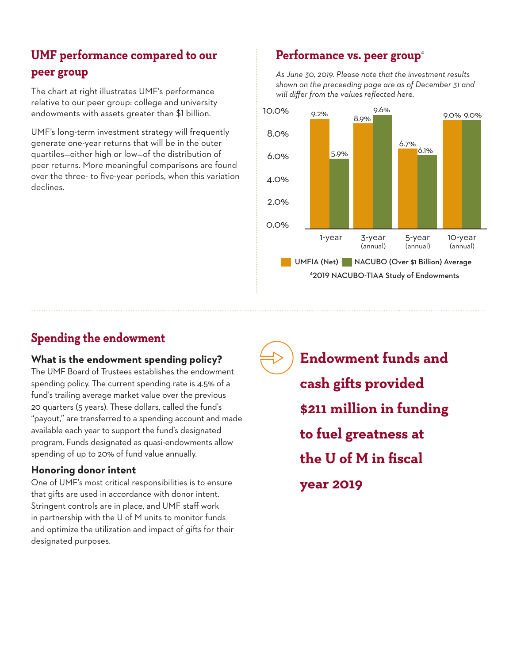# **UMF performance compared to our peer group**

The chart at right illustrates UMF's performance relative to our peer group: college and university endowments with assets greater than \$1 billion.

UMF's long-term investment strategy will frequently generate one-year returns that will be in the outer quartiles—either high or low—of the distribution of peer returns. More meaningful comparisons are found over the three- to five-year periods, when this variation declines.

# Performance vs. peer group<sup>4</sup>

*As June 30, 2019. Please note that the investment results shown on the preceeding page are as of December 31 and will differ from the values reflected here.* 

![](_page_2_Figure_5.jpeg)

# **Spending the endowment**

## **What is the endowment spending policy?**

The UMF Board of Trustees establishes the endowment spending policy. The current spending rate is 4.5% of a fund's trailing average market value over the previous 20 quarters (5 years). These dollars, called the fund's "payout," are transferred to a spending account and made available each year to support the fund's designated program. Funds designated as quasi-endowments allow spending of up to 20% of fund value annually.

## **Honoring donor intent**

One of UMF's most critical responsibilities is to ensure that gifts are used in accordance with donor intent. Stringent controls are in place, and UMF staff work in partnership with the U of M units to monitor funds and optimize the utilization and impact of gifts for their designated purposes.

**Endowment funds and cash gifts provided \$211 million in funding to fuel greatness at the U of M in fiscal year 2019**